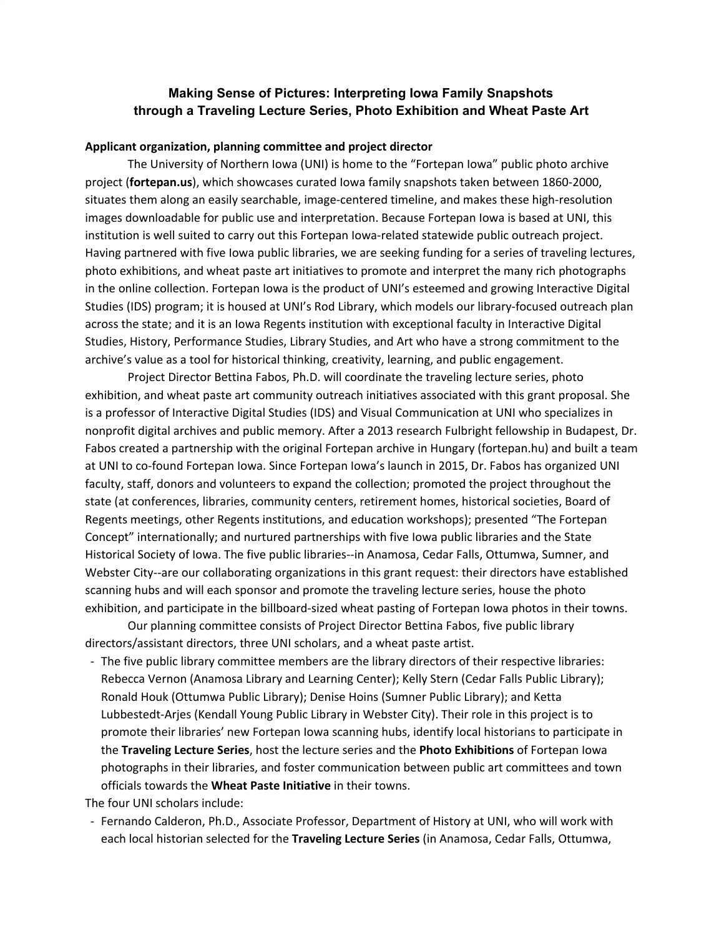# **Making Sense of Pictures: Interpreting Iowa Family Snapshots through a Traveling Lecture Series, Photo Exhibition and Wheat Paste Art**

## **Applicant organization, planning committee and project director**

The University of Northern Iowa (UNI) is home to the "Fortepan Iowa" public photo archive project (**fortepan.us**), which showcases curated Iowa family snapshots taken between 1860-2000, situates them along an easily searchable, image-centered timeline, and makes these high-resolution images downloadable for public use and interpretation. Because Fortepan Iowa is based at UNI, this institution is well suited to carry out this Fortepan Iowa-related statewide public outreach project. Having partnered with five Iowa public libraries, we are seeking funding for a series of traveling lectures, photo exhibitions, and wheat paste art initiatives to promote and interpret the many rich photographs in the online collection. Fortepan Iowa is the product of UNI's esteemed and growing Interactive Digital Studies (IDS) program; it is housed at UNI's Rod Library, which models our library-focused outreach plan across the state; and it is an Iowa Regents institution with exceptional faculty in Interactive Digital Studies, History, Performance Studies, Library Studies, and Art who have a strong commitment to the archive's value as a tool for historical thinking, creativity, learning, and public engagement.

Project Director Bettina Fabos, Ph.D. will coordinate the traveling lecture series, photo exhibition, and wheat paste art community outreach initiatives associated with this grant proposal. She is a professor of Interactive Digital Studies (IDS) and Visual Communication at UNI who specializes in nonprofit digital archives and public memory. After a 2013 research Fulbright fellowship in Budapest, Dr. Fabos created a partnership with the original Fortepan archive in Hungary (fortepan.hu) and built a team at UNI to co-found Fortepan Iowa. Since Fortepan Iowa's launch in 2015, Dr. Fabos has organized UNI faculty, staff, donors and volunteers to expand the collection; promoted the project throughout the state (at conferences, libraries, community centers, retirement homes, historical societies, Board of Regents meetings, other Regents institutions, and education workshops); presented "The Fortepan Concept" internationally; and nurtured partnerships with five Iowa public libraries and the State Historical Society of Iowa. The five public libraries--in Anamosa, Cedar Falls, Ottumwa, Sumner, and Webster City--are our collaborating organizations in this grant request: their directors have established scanning hubs and will each sponsor and promote the traveling lecture series, house the photo exhibition, and participate in the billboard-sized wheat pasting of Fortepan Iowa photos in their towns.

Our planning committee consists of Project Director Bettina Fabos, five public library directors/assistant directors, three UNI scholars, and a wheat paste artist.

- The five public library committee members are the library directors of their respective libraries: Rebecca Vernon (Anamosa Library and Learning Center); Kelly Stern (Cedar Falls Public Library); Ronald Houk (Ottumwa Public Library); Denise Hoins (Sumner Public Library); and Ketta Lubbestedt-Arjes (Kendall Young Public Library in Webster City). Their role in this project is to promote their libraries' new Fortepan Iowa scanning hubs, identify local historians to participate in the **Traveling Lecture Series**, host the lecture series and the **Photo Exhibitions** of Fortepan Iowa photographs in their libraries, and foster communication between public art committees and town officials towards the **Wheat Paste Initiative** in their towns.

The four UNI scholars include:

- Fernando Calderon, Ph.D., Associate Professor, Department of History at UNI, who will work with each local historian selected for the **Traveling Lecture Series** (in Anamosa, Cedar Falls, Ottumwa,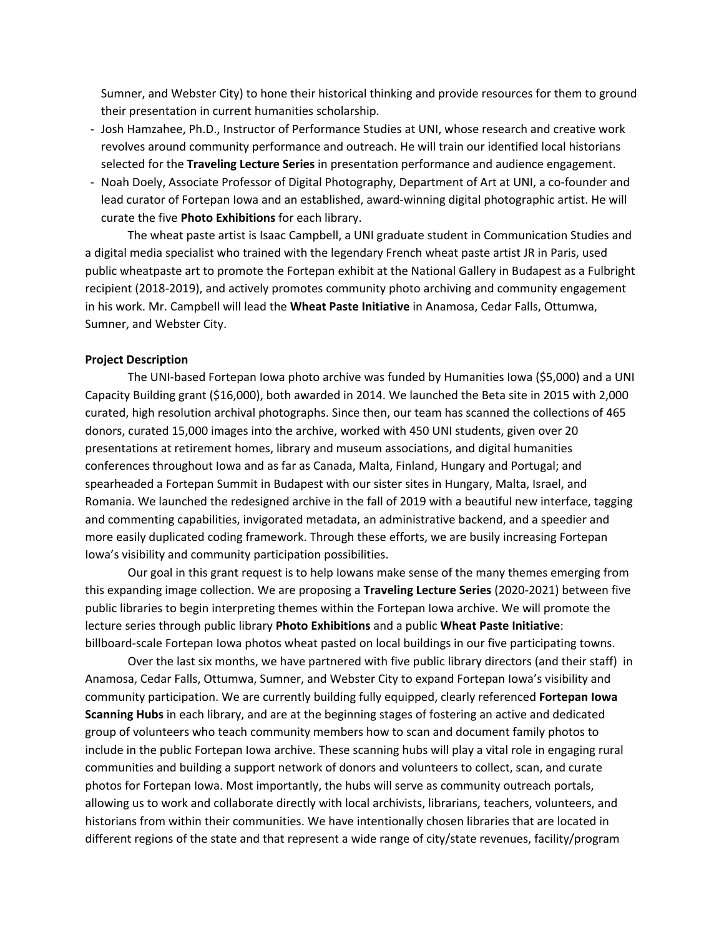Sumner, and Webster City) to hone their historical thinking and provide resources for them to ground their presentation in current humanities scholarship.

- Josh Hamzahee, Ph.D., Instructor of Performance Studies at UNI, whose research and creative work revolves around community performance and outreach. He will train our identified local historians selected for the **Traveling Lecture Series** in presentation performance and audience engagement.
- Noah Doely, Associate Professor of Digital Photography, Department of Art at UNI, a co-founder and lead curator of Fortepan Iowa and an established, award-winning digital photographic artist. He will curate the five **Photo Exhibitions** for each library.

The wheat paste artist is Isaac Campbell, a UNI graduate student in Communication Studies and a digital media specialist who trained with the legendary French wheat paste artist JR in Paris, used public wheatpaste art to promote the Fortepan exhibit at the National Gallery in Budapest as a Fulbright recipient (2018-2019), and actively promotes community photo archiving and community engagement in his work. Mr. Campbell will lead the **Wheat Paste Initiative** in Anamosa, Cedar Falls, Ottumwa, Sumner, and Webster City.

#### **Project Description**

The UNI-based Fortepan Iowa photo archive was funded by Humanities Iowa (\$5,000) and a UNI Capacity Building grant (\$16,000), both awarded in 2014. We launched the Beta site in 2015 with 2,000 curated, high resolution archival photographs. Since then, our team has scanned the collections of 465 donors, curated 15,000 images into the archive, worked with 450 UNI students, given over 20 presentations at retirement homes, library and museum associations, and digital humanities conferences throughout Iowa and as far as Canada, Malta, Finland, Hungary and Portugal; and spearheaded a Fortepan Summit in Budapest with our sister sites in Hungary, Malta, Israel, and Romania. We launched the redesigned archive in the fall of 2019 with a beautiful new interface, tagging and commenting capabilities, invigorated metadata, an administrative backend, and a speedier and more easily duplicated coding framework. Through these efforts, we are busily increasing Fortepan Iowa's visibility and community participation possibilities.

Our goal in this grant request is to help Iowans make sense of the many themes emerging from this expanding image collection. We are proposing a **Traveling Lecture Series** (2020-2021) between five public libraries to begin interpreting themes within the Fortepan Iowa archive. We will promote the lecture series through public library **Photo Exhibitions** and a public **Wheat Paste Initiative**: billboard-scale Fortepan Iowa photos wheat pasted on local buildings in our five participating towns.

Over the last six months, we have partnered with five public library directors (and their staff) in Anamosa, Cedar Falls, Ottumwa, Sumner, and Webster City to expand Fortepan Iowa's visibility and community participation. We are currently building fully equipped, clearly referenced **Fortepan Iowa Scanning Hubs** in each library, and are at the beginning stages of fostering an active and dedicated group of volunteers who teach community members how to scan and document family photos to include in the public Fortepan Iowa archive. These scanning hubs will play a vital role in engaging rural communities and building a support network of donors and volunteers to collect, scan, and curate photos for Fortepan Iowa. Most importantly, the hubs will serve as community outreach portals, allowing us to work and collaborate directly with local archivists, librarians, teachers, volunteers, and historians from within their communities. We have intentionally chosen libraries that are located in different regions of the state and that represent a wide range of city/state revenues, facility/program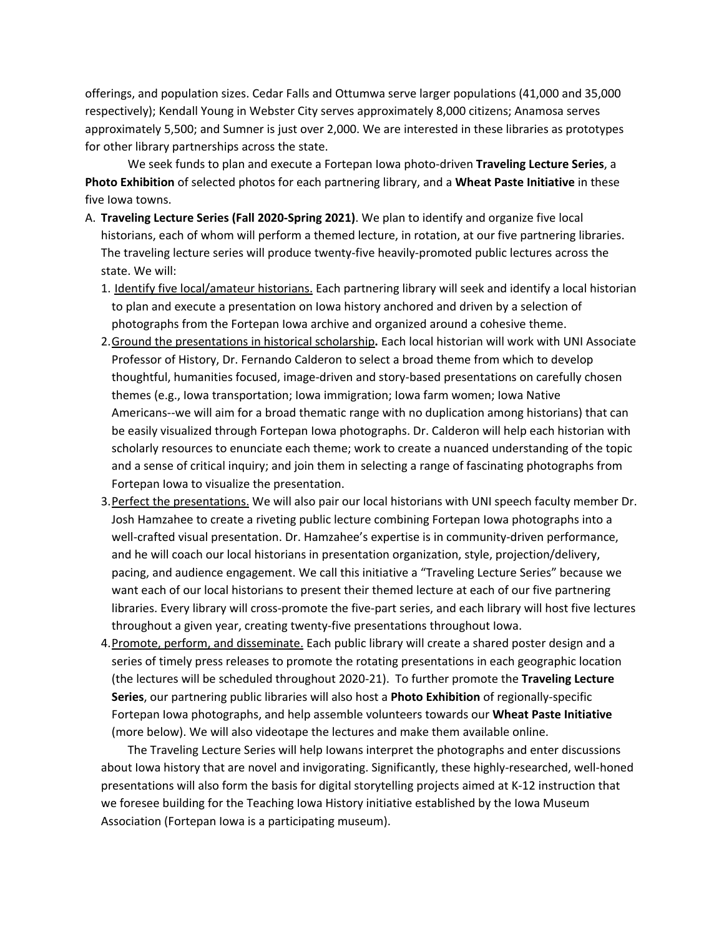offerings, and population sizes. Cedar Falls and Ottumwa serve larger populations (41,000 and 35,000 respectively); Kendall Young in Webster City serves approximately 8,000 citizens; Anamosa serves approximately 5,500; and Sumner is just over 2,000. We are interested in these libraries as prototypes for other library partnerships across the state.

We seek funds to plan and execute a Fortepan Iowa photo-driven **Traveling Lecture Series**, a **Photo Exhibition** of selected photos for each partnering library, and a **Wheat Paste Initiative** in these five Iowa towns.

- A. **Traveling Lecture Series (Fall 2020-Spring 2021)**. We plan to identify and organize five local historians, each of whom will perform a themed lecture, in rotation, at our five partnering libraries. The traveling lecture series will produce twenty-five heavily-promoted public lectures across the state. We will:
	- 1. Identify five local/amateur historians. Each partnering library will seek and identify a local historian to plan and execute a presentation on Iowa history anchored and driven by a selection of photographs from the Fortepan Iowa archive and organized around a cohesive theme.
	- 2.Ground the presentations in historical scholarship**.** Each local historian will work with UNI Associate Professor of History, Dr. Fernando Calderon to select a broad theme from which to develop thoughtful, humanities focused, image-driven and story-based presentations on carefully chosen themes (e.g., Iowa transportation; Iowa immigration; Iowa farm women; Iowa Native Americans--we will aim for a broad thematic range with no duplication among historians) that can be easily visualized through Fortepan Iowa photographs. Dr. Calderon will help each historian with scholarly resources to enunciate each theme; work to create a nuanced understanding of the topic and a sense of critical inquiry; and join them in selecting a range of fascinating photographs from Fortepan Iowa to visualize the presentation.
	- 3.Perfect the presentations. We will also pair our local historians with UNI speech faculty member Dr. Josh Hamzahee to create a riveting public lecture combining Fortepan Iowa photographs into a well-crafted visual presentation. Dr. Hamzahee's expertise is in community-driven performance, and he will coach our local historians in presentation organization, style, projection/delivery, pacing, and audience engagement. We call this initiative a "Traveling Lecture Series" because we want each of our local historians to present their themed lecture at each of our five partnering libraries. Every library will cross-promote the five-part series, and each library will host five lectures throughout a given year, creating twenty-five presentations throughout Iowa.
	- 4. Promote, perform, and disseminate. Each public library will create a shared poster design and a series of timely press releases to promote the rotating presentations in each geographic location (the lectures will be scheduled throughout 2020-21). To further promote the **Traveling Lecture Series**, our partnering public libraries will also host a **Photo Exhibition** of regionally-specific Fortepan Iowa photographs, and help assemble volunteers towards our **Wheat Paste Initiative** (more below). We will also videotape the lectures and make them available online.

The Traveling Lecture Series will help Iowans interpret the photographs and enter discussions about Iowa history that are novel and invigorating. Significantly, these highly-researched, well-honed presentations will also form the basis for digital storytelling projects aimed at K-12 instruction that we foresee building for the Teaching Iowa History initiative established by the Iowa Museum Association (Fortepan Iowa is a participating museum).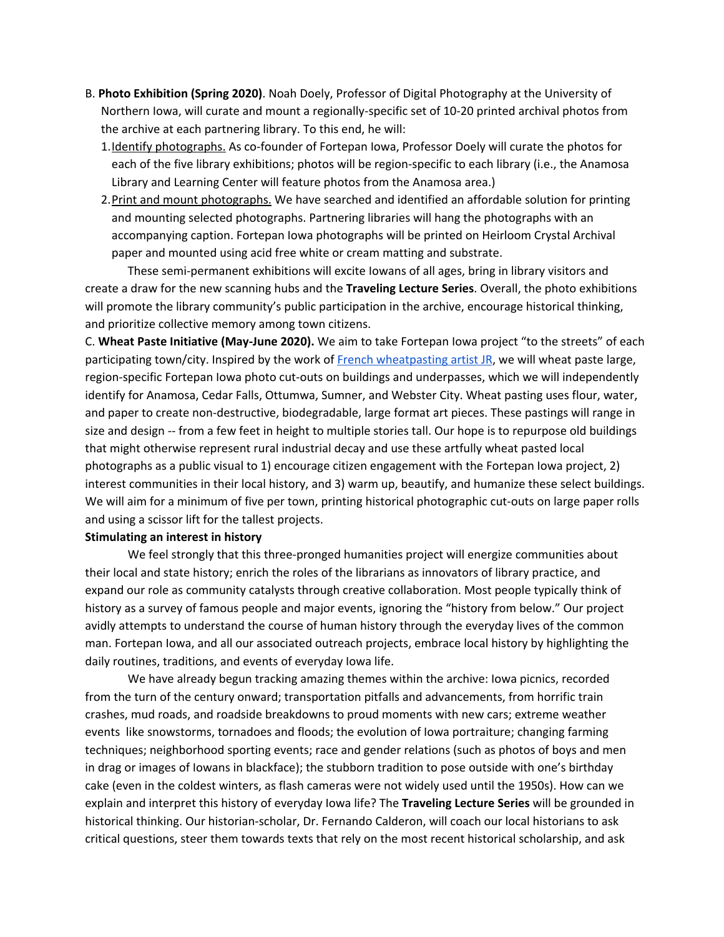- B. **Photo Exhibition (Spring 2020)**. Noah Doely, Professor of Digital Photography at the University of Northern Iowa, will curate and mount a regionally-specific set of 10-20 printed archival photos from the archive at each partnering library. To this end, he will:
	- 1. Identify photographs. As co-founder of Fortepan Iowa, Professor Doely will curate the photos for each of the five library exhibitions; photos will be region-specific to each library (i.e., the Anamosa Library and Learning Center will feature photos from the Anamosa area.)
	- 2. Print and mount photographs. We have searched and identified an affordable solution for printing and mounting selected photographs. Partnering libraries will hang the photographs with an accompanying caption. Fortepan Iowa photographs will be printed on Heirloom Crystal Archival paper and mounted using acid free white or cream matting and substrate.

These semi-permanent exhibitions will excite Iowans of all ages, bring in library visitors and create a draw for the new scanning hubs and the **Traveling Lecture Series**. Overall, the photo exhibitions will promote the library community's public participation in the archive, encourage historical thinking, and prioritize collective memory among town citizens.

C. **Wheat Paste Initiative (May-June 2020).** We aim to take Fortepan Iowa project "to the streets" of each participating town/city. Inspired by the work of French [wheatpasting](https://observer.com/2012/08/jr-grows-up-how-a-french-graffiti-artist-wheat-pasted-himself-into-the-heart-of-the-art-world/) artist JR, we will wheat paste large, region-specific Fortepan Iowa photo cut-outs on buildings and underpasses, which we will independently identify for Anamosa, Cedar Falls, Ottumwa, Sumner, and Webster City. Wheat pasting uses flour, water, and paper to create non-destructive, biodegradable, large format art pieces. These pastings will range in size and design -- from a few feet in height to multiple stories tall. Our hope is to repurpose old buildings that might otherwise represent rural industrial decay and use these artfully wheat pasted local photographs as a public visual to 1) encourage citizen engagement with the Fortepan Iowa project, 2) interest communities in their local history, and 3) warm up, beautify, and humanize these select buildings. We will aim for a minimum of five per town, printing historical photographic cut-outs on large paper rolls and using a scissor lift for the tallest projects.

### **Stimulating an interest in history**

We feel strongly that this three-pronged humanities project will energize communities about their local and state history; enrich the roles of the librarians as innovators of library practice, and expand our role as community catalysts through creative collaboration. Most people typically think of history as a survey of famous people and major events, ignoring the "history from below." Our project avidly attempts to understand the course of human history through the everyday lives of the common man. Fortepan Iowa, and all our associated outreach projects, embrace local history by highlighting the daily routines, traditions, and events of everyday Iowa life.

We have already begun tracking amazing themes within the archive: Iowa picnics, recorded from the turn of the century onward; transportation pitfalls and advancements, from horrific train crashes, mud roads, and roadside breakdowns to proud moments with new cars; extreme weather events like snowstorms, tornadoes and floods; the evolution of Iowa portraiture; changing farming techniques; neighborhood sporting events; race and gender relations (such as photos of boys and men in drag or images of Iowans in blackface); the stubborn tradition to pose outside with one's birthday cake (even in the coldest winters, as flash cameras were not widely used until the 1950s). How can we explain and interpret this history of everyday Iowa life? The **Traveling Lecture Series** will be grounded in historical thinking. Our historian-scholar, Dr. Fernando Calderon, will coach our local historians to ask critical questions, steer them towards texts that rely on the most recent historical scholarship, and ask